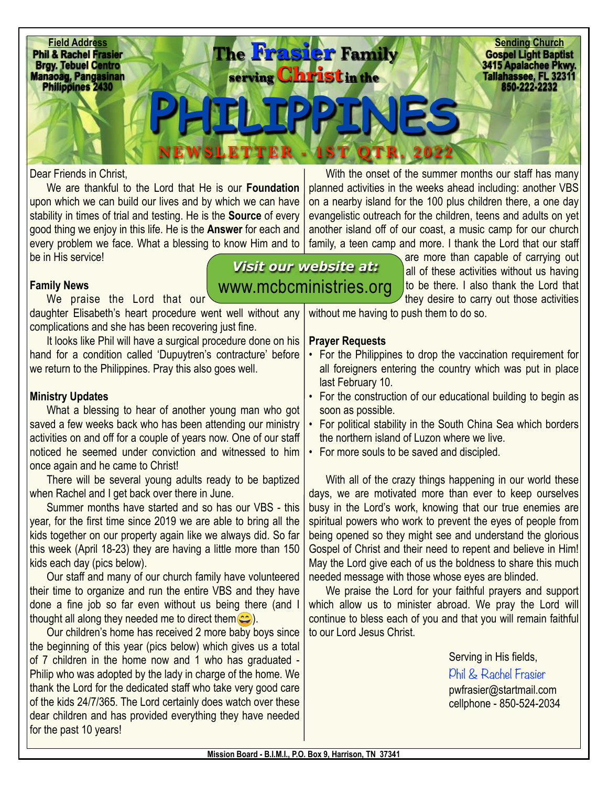

## Dear Friends in Christ,

We are thankful to the Lord that He is our **Foundation** upon which we can build our lives and by which we can have stability in times of trial and testing. He is the **Source** of every good thing we enjoy in this life. He is the **Answer** for each and every problem we face. What a blessing to know Him and to be in His service! *Visit our website at:*

## **Family News**

We praise the Lord that our daughter Elisabeth's heart procedure went well without any complications and she has been recovering just fine.

It looks like Phil will have a surgical procedure done on his hand for a condition called 'Dupuytren's contracture' before we return to the Philippines. Pray this also goes well.

## **Ministry Updates**

What a blessing to hear of another young man who got saved a few weeks back who has been attending our ministry activities on and off for a couple of years now. One of our staff noticed he seemed under conviction and witnessed to him once again and he came to Christ!

There will be several young adults ready to be baptized when Rachel and I get back over there in June.

Summer months have started and so has our VBS - this year, for the first time since 2019 we are able to bring all the kids together on our property again like we always did. So far this week (April 18-23) they are having a little more than 150 kids each day (pics below).

Our staff and many of our church family have volunteered their time to organize and run the entire VBS and they have done a fine job so far even without us being there (and I thought all along they needed me to direct them  $\circled{c}$ ).

Our children's home has received 2 more baby boys since the beginning of this year (pics below) which gives us a total of 7 children in the home now and 1 who has graduated - Philip who was adopted by the lady in charge of the home. We thank the Lord for the dedicated staff who take very good care of the kids 24/7/365. The Lord certainly does watch over these dear children and has provided everything they have needed for the past 10 years!

With the onset of the summer months our staff has many planned activities in the weeks ahead including: another VBS on a nearby island for the 100 plus children there, a one day evangelistic outreach for the children, teens and adults on yet another island off of our coast, a music camp for our church family, a teen camp and more. I thank the Lord that our staff

are more than capable of carrying out all of these activities without us having to be there. I also thank the Lord that they desire to carry out those activities [www.mcbcministries.org](http://www.mcbcministries.org)

without me having to push them to do so.

## **Prayer Requests**

- For the Philippines to drop the vaccination requirement for all foreigners entering the country which was put in place last February 10.
- For the construction of our educational building to begin as soon as possible.
- For political stability in the South China Sea which borders the northern island of Luzon where we live.
- For more souls to be saved and discipled.

With all of the crazy things happening in our world these days, we are motivated more than ever to keep ourselves busy in the Lord's work, knowing that our true enemies are spiritual powers who work to prevent the eyes of people from being opened so they might see and understand the glorious Gospel of Christ and their need to repent and believe in Him! May the Lord give each of us the boldness to share this much needed message with those whose eyes are blinded.

We praise the Lord for your faithful prayers and support which allow us to minister abroad. We pray the Lord will continue to bless each of you and that you will remain faithful to our Lord Jesus Christ.

> Serving in His fields, Phil & Rachel Frasier [pwfrasier@startmail.com](mailto:pwfrasier@startmail.com)  cellphone - 850-524-2034